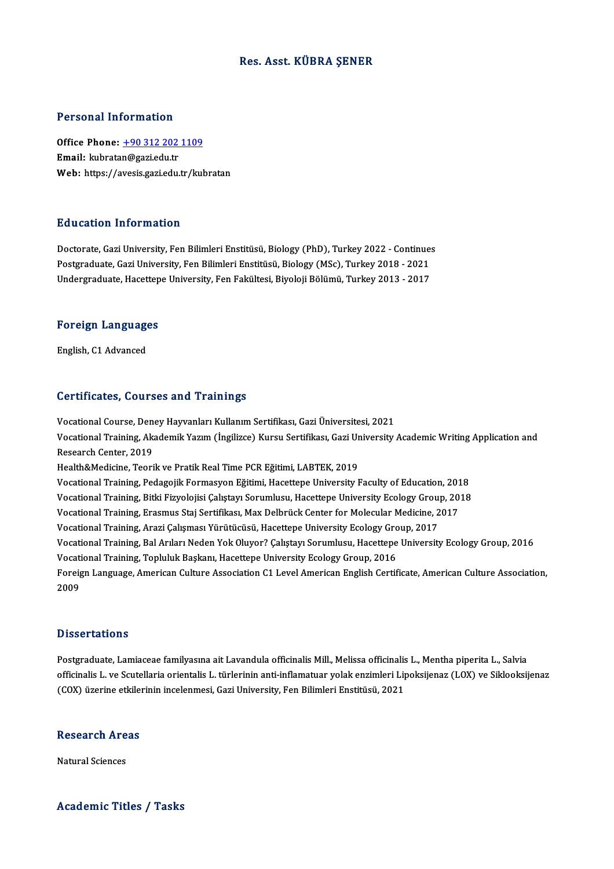## Res. Asst. KÜBRA ŞENER

## Personal Information

Personal Information<br>Office Phone: <u>+90 312 202 1109</u><br>Email: Inhratan@sasi.edu.tr office Phone: <u>+90 312 202</u><br>Email: kubrata[n@gazi.edu.tr](tel:+90 312 202 1109)<br>Web. https://avesis.gazi.edu.tr Email: kubratan@gazi.edu.tr<br>Web: https://avesis.gazi.edu.tr/kubratan

### Education Information

Doctorate, Gazi University, Fen Bilimleri Enstitüsü, Biology (PhD), Turkey 2022 - Continues Puususeen minermuseen<br>Doctorate, Gazi University, Fen Bilimleri Enstitüsü, Biology (PhD), Turkey 2022 - Continue:<br>Postgraduate, Gazi University, Fen Bilimleri Enstitüsü, Biology (MSc), Turkey 2018 - 2021<br>Undergraduate, Has Doctorate, Gazi University, Fen Bilimleri Enstitüsü, Biology (PhD), Turkey 2022 - Continue:<br>Postgraduate, Gazi University, Fen Bilimleri Enstitüsü, Biology (MSc), Turkey 2018 - 2021<br>Undergraduate, Hacettepe University, Fen

## <sub>ondergraduate, nacettep</sub><br>Foreign Languages F<mark>oreign Languag</mark>e<br>English, C1 Advanced

# English, C1 Advanced<br>Certificates, Courses and Trainings

Certificates, Courses and Trainings<br>Vocational Course, Deney Hayvanları Kullanım Sertifikası, Gazi Üniversitesi, 2021<br>Vesational Training, Alsadomik Yazım (İngilizse) Kursu Sertifikası, Gazi University Vocational Training, Akademik Yazım (İngilizce) Kursu Sertifikası, Gazi University Academic Writing Application and<br>Research Center, 2019 Vocational Course, Den<br>Vocational Training, Ak<br>Research Center, 2019<br>Health&Medisine, Teori Health&Medicine, Teorik ve Pratik Real Time PCR Eğitimi, LABTEK, 2019 Vocational Training, Pedagojik Formasyon Eğitimi, Hacettepe University Faculty of Education, 2018 Vocational Training, Bitki Fizyolojisi Çalıştayı Sorumlusu, Hacettepe University Ecology Group, 2018 Vocational Training, Pedagojik Formasyon Eğitimi, Hacettepe University Faculty of Education, 201<br>Vocational Training, Bitki Fizyolojisi Çalıştayı Sorumlusu, Hacettepe University Ecology Group, 20<br>Vocational Training, Erasm Vocational Training, Bitki Fizyolojisi Çalıştayı Sorumlusu, Hacettepe University Ecology Group<br>Vocational Training, Erasmus Staj Sertifikası, Max Delbrück Center for Molecular Medicine, 2<br>Vocational Training, Arazi Çalışma Vocational Training, Erasmus Staj Sertifikası, Max Delbrück Center for Molecular Medicine, 2017<br>Vocational Training, Arazi Çalışması Yürütücüsü, Hacettepe University Ecology Group, 2017<br>Vocational Training, Bal Arıları Ned Vocational Training, Arazi Çalışması Yürütücüsü, Hacettepe University Ecology Gro<br>Vocational Training, Bal Arıları Neden Yok Oluyor? Çalıştayı Sorumlusu, Hacettepe<br>Vocational Training, Topluluk Başkanı, Hacettepe Universit Vocational Training, Bal Arıları Neden Yok Oluyor? Çalıştayı Sorumlusu, Hacettepe University Ecology Group, 2016<br>Vocational Training, Topluluk Başkanı, Hacettepe University Ecology Group, 2016<br>Foreign Language, American Cu Vocati<br>Foreig<br>2009

# Dissertations

Dissertations<br>Postgraduate, Lamiaceae familyasına ait Lavandula officinalis Mill., Melissa officinalis L., Mentha piperita L., Salvia<br>officinalis L. ve Seutellaria orientalis L. türlerinin anti inflamatuar valak orgimleri o isseer catronis<br>Postgraduate, Lamiaceae familyasına ait Lavandula officinalis Mill., Melissa officinalis L., Mentha piperita L., Salvia<br>officinalis L. ve Scutellaria orientalis L. türlerinin anti-inflamatuar yolak enziml Postgraduate, Lamiaceae familyasına ait Lavandula officinalis Mill., Melissa officinalis<br>officinalis L. ve Scutellaria orientalis L. türlerinin anti-inflamatuar yolak enzimleri Li<sub>l</sub><br>(COX) üzerine etkilerinin incelenmesi, (COX) üzerine etkilerinin incelenmesi, Gazi University, Fen Bilimleri Enstitüsü, 2021<br>Research Areas

**Natural Sciences** 

### Academic Titles / Tasks